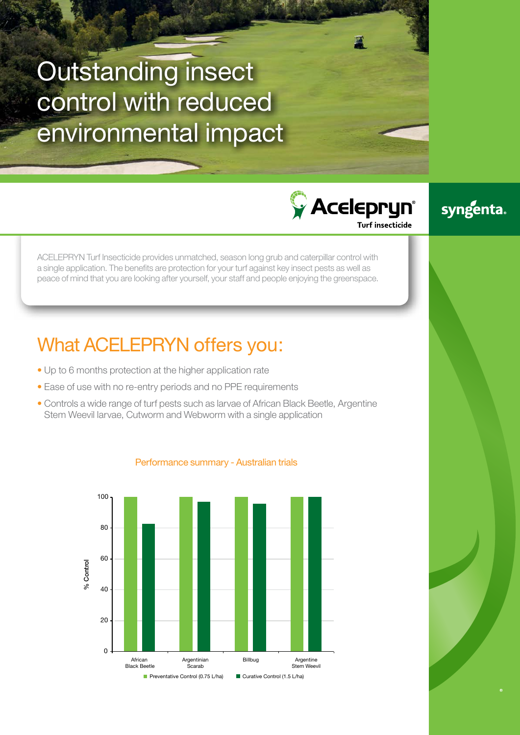# Outstanding insect control with reduced environmental impact

ACELEPRYN Turf Insecticide provides unmatched, season long grub and caterpillar control with a single application. The benefits are protection for your turf against key insect pests as well as peace of mind that you are looking after yourself, your staff and people enjoying the greenspace.

## What ACELEPRYN offers you:

- Up to 6 months protection at the higher application rate
- Ease of use with no re-entry periods and no PPE requirements
- Controls a wide range of turf pests such as larvae of African Black Beetle, Argentine Stem Weevil larvae, Cutworm and Webworm with a single application



## Performance summary - Australian trials

## syngenta.

**CACELEDRUM** 

**Turf insecticide**